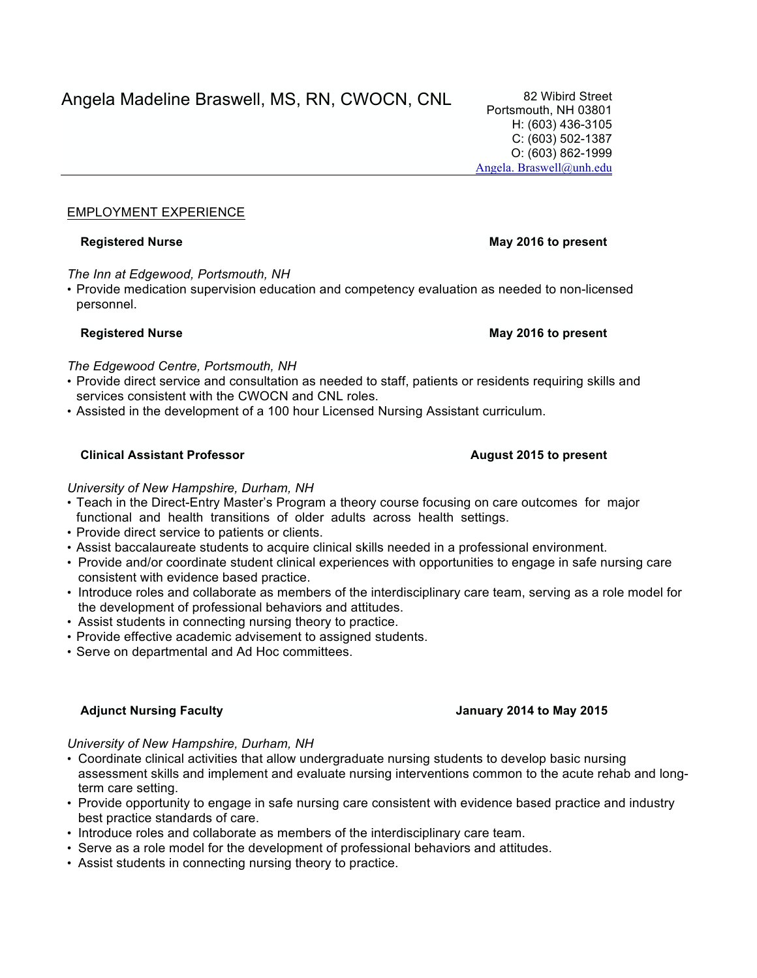# EMPLOYMENT EXPERIENCE

*The Inn at Edgewood, Portsmouth, NH*

• Provide medication supervision education and competency evaluation as needed to non-licensed personnel.

## **Registered Nurse May 2016 to present**

*The Edgewood Centre, Portsmouth, NH*

- Provide direct service and consultation as needed to staff, patients or residents requiring skills and services consistent with the CWOCN and CNL roles.
- Assisted in the development of a 100 hour Licensed Nursing Assistant curriculum.

# **Clinical Assistant Professor August 2015 to present**

# *University of New Hampshire, Durham, NH*

- Teach in the Direct-Entry Master's Program a theory course focusing on care outcomes for major functional and health transitions of older adults across health settings.
- Provide direct service to patients or clients.
- Assist baccalaureate students to acquire clinical skills needed in a professional environment.
- Provide and/or coordinate student clinical experiences with opportunities to engage in safe nursing care consistent with evidence based practice.
- Introduce roles and collaborate as members of the interdisciplinary care team, serving as a role model for the development of professional behaviors and attitudes.
- Assist students in connecting nursing theory to practice.
- Provide effective academic advisement to assigned students.
- Serve on departmental and Ad Hoc committees.

# **Adjunct Nursing Faculty January 2014 to May 2015**

*University of New Hampshire, Durham, NH*

- Coordinate clinical activities that allow undergraduate nursing students to develop basic nursing assessment skills and implement and evaluate nursing interventions common to the acute rehab and longterm care setting.
- Provide opportunity to engage in safe nursing care consistent with evidence based practice and industry best practice standards of care.
- Introduce roles and collaborate as members of the interdisciplinary care team.
- Serve as a role model for the development of professional behaviors and attitudes.
- Assist students in connecting nursing theory to practice.

# **Registered Nurse May 2016 to present**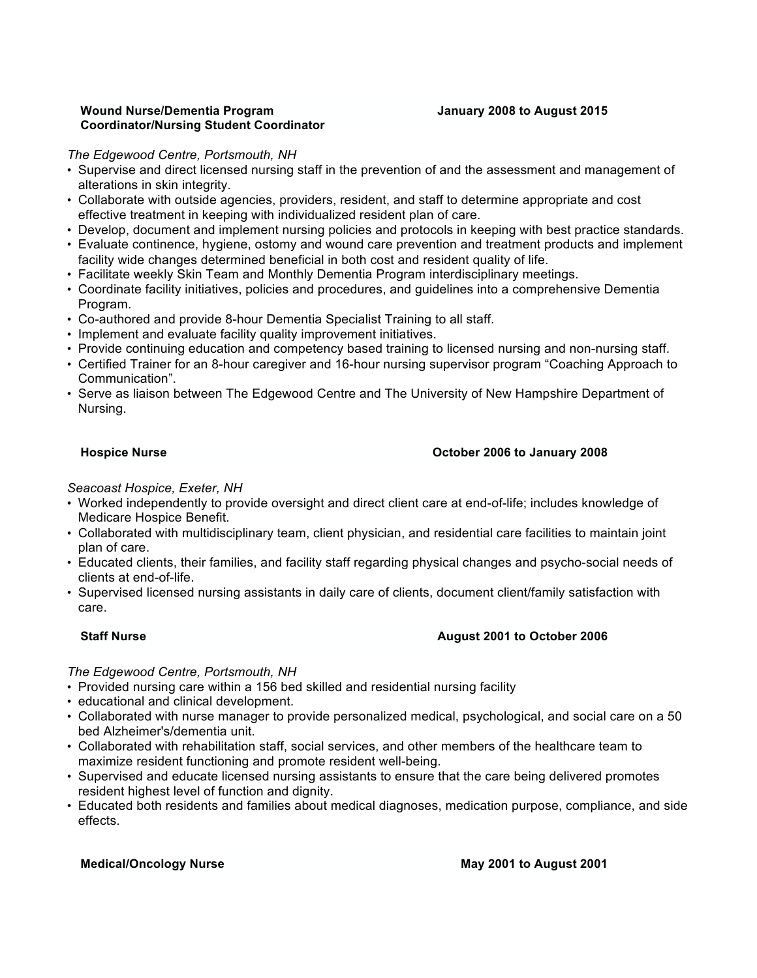## **Wound Nurse/Dementia Program Coordinator/Nursing Student Coordinator**

## **January 2008 to August 2015**

## *The Edgewood Centre, Portsmouth, NH*

- Supervise and direct licensed nursing staff in the prevention of and the assessment and management of alterations in skin integrity.
- Collaborate with outside agencies, providers, resident, and staff to determine appropriate and cost effective treatment in keeping with individualized resident plan of care.
- Develop, document and implement nursing policies and protocols in keeping with best practice standards.
- Evaluate continence, hygiene, ostomy and wound care prevention and treatment products and implement facility wide changes determined beneficial in both cost and resident quality of life.
- Facilitate weekly Skin Team and Monthly Dementia Program interdisciplinary meetings.
- Coordinate facility initiatives, policies and procedures, and guidelines into a comprehensive Dementia Program.
- Co-authored and provide 8-hour Dementia Specialist Training to all staff.
- Implement and evaluate facility quality improvement initiatives.
- Provide continuing education and competency based training to licensed nursing and non-nursing staff.
- Certified Trainer for an 8-hour caregiver and 16-hour nursing supervisor program "Coaching Approach to Communication".
- Serve as liaison between The Edgewood Centre and The University of New Hampshire Department of Nursing.

## **Hospice Nurse October 2006 to January 2008**

*Seacoast Hospice, Exeter, NH*

- Worked independently to provide oversight and direct client care at end-of-life; includes knowledge of Medicare Hospice Benefit.
- Collaborated with multidisciplinary team, client physician, and residential care facilities to maintain joint plan of care.
- Educated clients, their families, and facility staff regarding physical changes and psycho-social needs of clients at end-of-life.
- Supervised licensed nursing assistants in daily care of clients, document client/family satisfaction with care.

## **Staff Nurse August 2001 to October 2006**

## *The Edgewood Centre, Portsmouth, NH*

- Provided nursing care within a 156 bed skilled and residential nursing facility
- educational and clinical development.
- Collaborated with nurse manager to provide personalized medical, psychological, and social care on a 50 bed Alzheimer's/dementia unit.
- Collaborated with rehabilitation staff, social services, and other members of the healthcare team to maximize resident functioning and promote resident well-being.
- Supervised and educate licensed nursing assistants to ensure that the care being delivered promotes resident highest level of function and dignity.
- Educated both residents and families about medical diagnoses, medication purpose, compliance, and side effects.

## **Medical/Oncology Nurse May 2001 to August 2001**